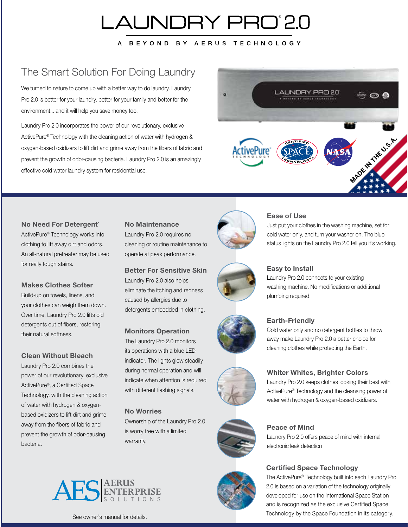## LAUNDRY PRO'2.0

A BEYOND BY AERUS TECHNOLOGY

## The Smart Solution For Doing Laundry

We turned to nature to come up with a better way to do laundry. Laundry Pro 2.0 is better for your laundry, better for your family and better for the environment... and it will help you save money too.

Laundry Pro 2.0 incorporates the power of our revolutionary, exclusive ActivePure® Technology with the cleaning action of water with hydrogen & oxygen-based oxidizers to lift dirt and grime away from the fibers of fabric and prevent the growth of odor-causing bacteria. Laundry Pro 2.0 is an amazingly effective cold water laundry system for residential use.



#### No Need For Detergent<sup>\*</sup>

ActivePure® Technology works into clothing to lift away dirt and odors. An all-natural pretreater may be used for really tough stains.

#### Makes Clothes Softer

Build-up on towels, linens, and your clothes can weigh them down. Over time, Laundry Pro 2.0 lifts old detergents out of fibers, restoring their natural softness.

#### Clean Without Bleach

Laundry Pro 2.0 combines the power of our revolutionary, exclusive ActivePure®, a Certified Space Technology, with the cleaning action of water with hydrogen & oxygenbased oxidizers to lift dirt and grime away from the fibers of fabric and prevent the growth of odor-causing bacteria.

#### No Maintenance

Laundry Pro 2.0 requires no cleaning or routine maintenance to operate at peak performance.

#### Better For Sensitive Skin

Laundry Pro 2.0 also helps eliminate the itching and redness caused by allergies due to detergents embedded in clothing.

#### Monitors Operation

The Laundry Pro 2.0 monitors its operations with a blue LED indicator. The lights glow steadily during normal operation and will indicate when attention is required with different flashing signals.

#### No Worries

Ownership of the Laundry Pro 2.0 is worry free with a limited warranty.



#### Ease of Use

Just put your clothes in the washing machine, set for cold water only, and turn your washer on. The blue status lights on the Laundry Pro 2.0 tell you it's working.



#### Easy to Install

Laundry Pro 2.0 connects to your existing washing machine. No modifications or additional plumbing required.



#### Earth-Friendly

Cold water only and no detergent bottles to throw away make Laundry Pro 2.0 a better choice for cleaning clothes while protecting the Earth.

Laundry Pro 2.0 keeps clothes looking their best with ActivePure® Technology and the cleansing power of water with hydrogen & oxygen-based oxidizers.

Whiter Whites, Brighter Colors





Peace of Mind Laundry Pro 2.0 offers peace of mind with internal electronic leak detection

#### Certified Space Technology

The ActivePure® Technology built into each Laundry Pro 2.0 is based on a variation of the technology originally developed for use on the International Space Station and is recognized as the exclusive Certified Space Technology by the Space Foundation in its category.



See owner's manual for details.